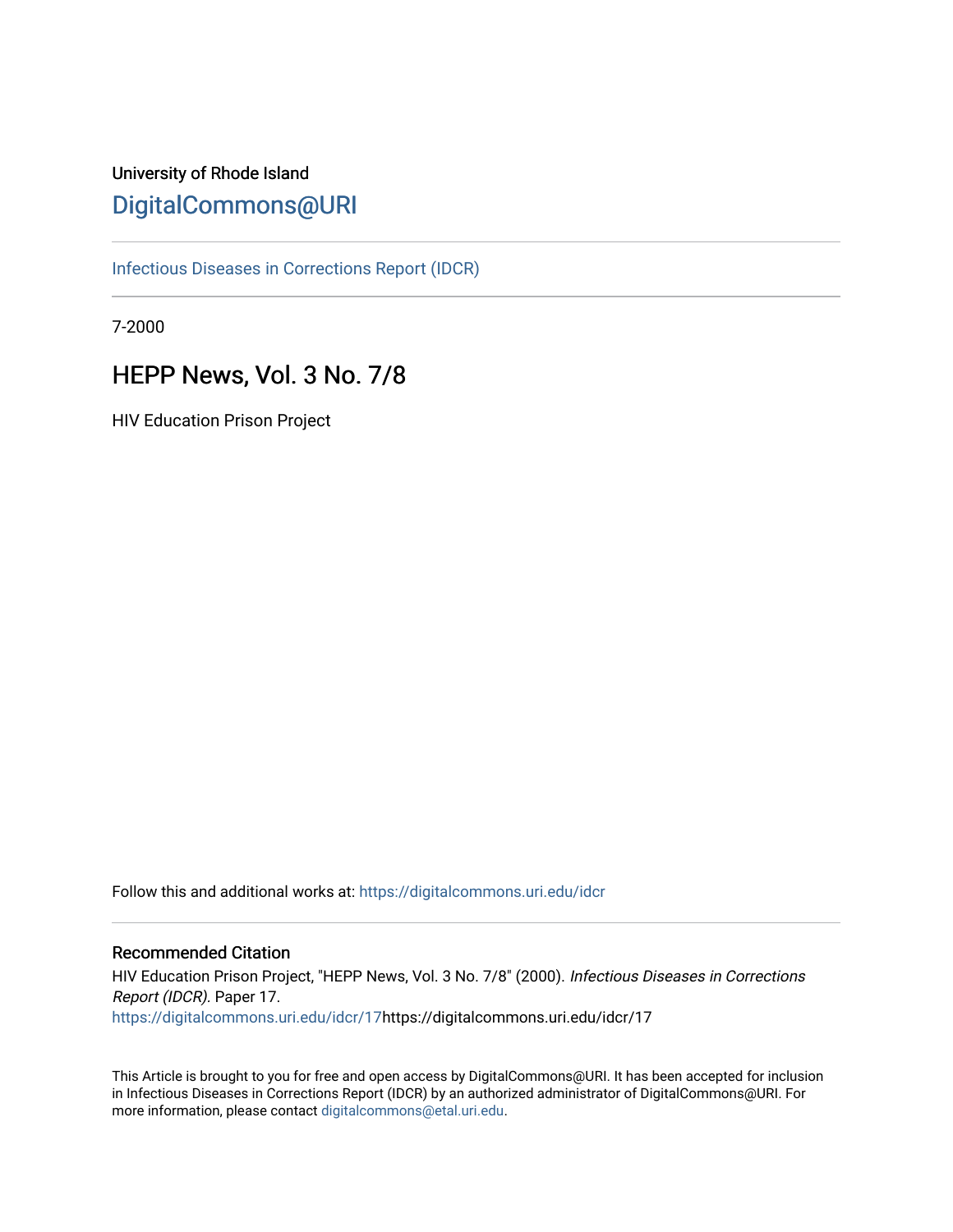# University of Rhode Island [DigitalCommons@URI](https://digitalcommons.uri.edu/)

[Infectious Diseases in Corrections Report \(IDCR\)](https://digitalcommons.uri.edu/idcr)

7-2000

# HEPP News, Vol. 3 No. 7/8

HIV Education Prison Project

Follow this and additional works at: [https://digitalcommons.uri.edu/idcr](https://digitalcommons.uri.edu/idcr?utm_source=digitalcommons.uri.edu%2Fidcr%2F17&utm_medium=PDF&utm_campaign=PDFCoverPages)

## Recommended Citation

HIV Education Prison Project, "HEPP News, Vol. 3 No. 7/8" (2000). Infectious Diseases in Corrections Report (IDCR). Paper 17. [https://digitalcommons.uri.edu/idcr/17h](https://digitalcommons.uri.edu/idcr/17?utm_source=digitalcommons.uri.edu%2Fidcr%2F17&utm_medium=PDF&utm_campaign=PDFCoverPages)ttps://digitalcommons.uri.edu/idcr/17

This Article is brought to you for free and open access by DigitalCommons@URI. It has been accepted for inclusion in Infectious Diseases in Corrections Report (IDCR) by an authorized administrator of DigitalCommons@URI. For more information, please contact [digitalcommons@etal.uri.edu.](mailto:digitalcommons@etal.uri.edu)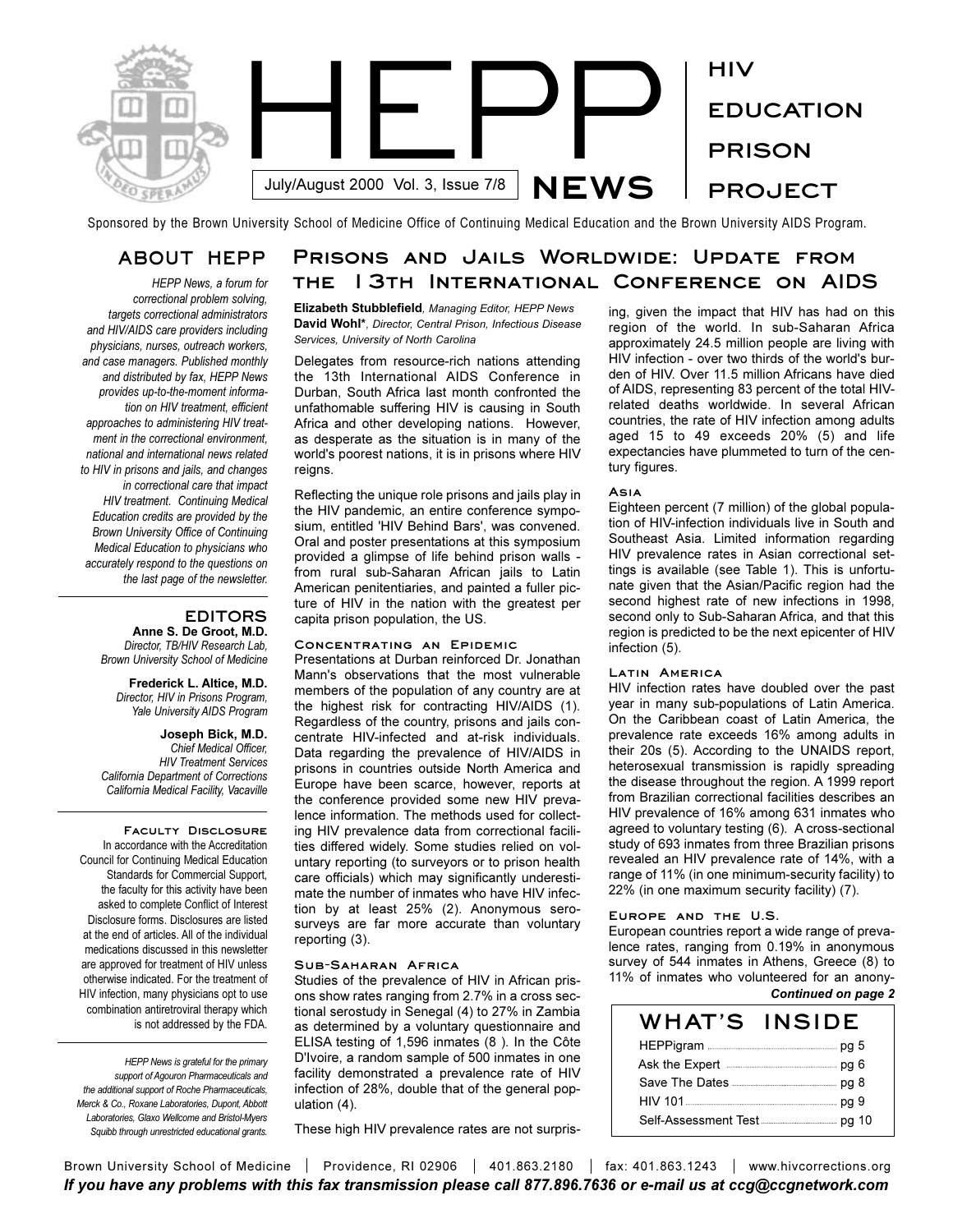

Sponsored by the Brown University School of Medicine Office of Continuing Medical Education and the Brown University AIDS Program.

## **ABOUT HEPP**

*HEPP News, a forum for correctional problem solving, targets correctional administrators and HIV/AIDS care providers including physicians, nurses, outreach workers, and case managers. Published monthly and distributed by fax, HEPP News provides up-to-the-moment information on HIV treatment, efficient approaches to administering HIV treatment in the correctional environment, national and international news related to HIV in prisons and jails, and changes in correctional care that impact HIV treatment. Continuing Medical Education credits are provided by the Brown University Office of Continuing Medical Education to physicians who accurately respond to the questions on the last page of the newsletter.* 

## **EDITORS**

**Anne S. De Groot, M.D.** *Director, TB/HIV Research Lab, Brown University School of Medicine*

**Frederick L. Altice, M.D.** *Director, HIV in Prisons Program, Yale University AIDS Program*

**Joseph Bick, M.D.** *Chief Medical Officer, HIV Treatment Services California Department of Corrections California Medical Facility, Vacaville*

**Faculty Disclosure**  In accordance with the Accreditation Council for Continuing Medical Education Standards for Commercial Support, the faculty for this activity have been asked to complete Conflict of Interest Disclosure forms. Disclosures are listed at the end of articles. All of the individual medications discussed in this newsletter are approved for treatment of HIV unless otherwise indicated. For the treatment of HIV infection, many physicians opt to use combination antiretroviral therapy which is not addressed by the FDA.

*HEPP News is grateful for the primary support of Agouron Pharmaceuticals and the additional support of Roche Pharmaceuticals, Merck & Co., Roxane Laboratories, Dupont, Abbott Laboratories, Glaxo Wellcome and Bristol-Myers Squibb through unrestricted educational grants.*

## **Prisons and Jails Worldwide: Update from the 13th International Conference on AIDS**

**Elizabeth Stubblefield***, Managing Editor, HEPP News* **David Wohl\****, Director, Central Prison, Infectious Disease Services, University of North Carolina*

Delegates from resource-rich nations attending the 13th International AIDS Conference in Durban, South Africa last month confronted the unfathomable suffering HIV is causing in South Africa and other developing nations. However, as desperate as the situation is in many of the world's poorest nations, it is in prisons where HIV reigns.

Reflecting the unique role prisons and jails play in the HIV pandemic, an entire conference symposium, entitled 'HIV Behind Bars', was convened. Oral and poster presentations at this symposium provided a glimpse of life behind prison walls from rural sub-Saharan African jails to Latin American penitentiaries, and painted a fuller picture of HIV in the nation with the greatest per capita prison population, the US.

### **Concentrating an Epidemic**

Presentations at Durban reinforced Dr. Jonathan Mann's observations that the most vulnerable members of the population of any country are at the highest risk for contracting HIV/AIDS (1). Regardless of the country, prisons and jails concentrate HIV-infected and at-risk individuals. Data regarding the prevalence of HIV/AIDS in prisons in countries outside North America and Europe have been scarce, however, reports at the conference provided some new HIV prevalence information. The methods used for collecting HIV prevalence data from correctional facilities differed widely. Some studies relied on voluntary reporting (to surveyors or to prison health care officials) which may significantly underestimate the number of inmates who have HIV infection by at least 25% (2). Anonymous serosurveys are far more accurate than voluntary reporting (3).

### **Sub-Saharan Africa**

Studies of the prevalence of HIV in African prisons show rates ranging from 2.7% in a cross sectional serostudy in Senegal (4) to 27% in Zambia as determined by a voluntary questionnaire and ELISA testing of 1,596 inmates (8 ). In the Côte D'Ivoire, a random sample of 500 inmates in one facility demonstrated a prevalence rate of HIV infection of 28%, double that of the general population (4).

These high HIV prevalence rates are not surpris-

ing, given the impact that HIV has had on this region of the world. In sub-Saharan Africa approximately 24.5 million people are living with HIV infection - over two thirds of the world's burden of HIV. Over 11.5 million Africans have died of AIDS, representing 83 percent of the total HIVrelated deaths worldwide. In several African countries, the rate of HIV infection among adults aged 15 to 49 exceeds 20% (5) and life expectancies have plummeted to turn of the century figures.

#### **Asia**

Eighteen percent (7 million) of the global population of HIV-infection individuals live in South and Southeast Asia. Limited information regarding HIV prevalence rates in Asian correctional settings is available (see Table 1). This is unfortunate given that the Asian/Pacific region had the second highest rate of new infections in 1998, second only to Sub-Saharan Africa, and that this region is predicted to be the next epicenter of HIV infection (5).

### **Latin America**

HIV infection rates have doubled over the past year in many sub-populations of Latin America. On the Caribbean coast of Latin America, the prevalence rate exceeds 16% among adults in their 20s (5). According to the UNAIDS report, heterosexual transmission is rapidly spreading the disease throughout the region. A 1999 report from Brazilian correctional facilities describes an HIV prevalence of 16% among 631 inmates who agreed to voluntary testing (6). A cross-sectional study of 693 inmates from three Brazilian prisons revealed an HIV prevalence rate of 14%, with a range of 11% (in one minimum-security facility) to 22% (in one maximum security facility) (7).

### **Europe and the U.S.**

European countries report a wide range of prevalence rates, ranging from 0.19% in anonymous survey of 544 inmates in Athens, Greece (8) to 11% of inmates who volunteered for an anony-*Continued on page 2*

| WHAT'S INSIDE                                                                                                 |  |
|---------------------------------------------------------------------------------------------------------------|--|
|                                                                                                               |  |
| Ask the Expert <b>Experied Ask the Expert</b> of the state of the state and the part of the state of the Asia |  |
|                                                                                                               |  |
| HIV 101                                                                                                       |  |
|                                                                                                               |  |

Brown University School of Medicine | Providence, RI 02906 | 401.863.2180 | fax: 401.863.1243 | www.hivcorrections.org *If you have any problems with this fax transmission please call 877.896.7636 or e-mail us at ccg@ccgnetwork.com*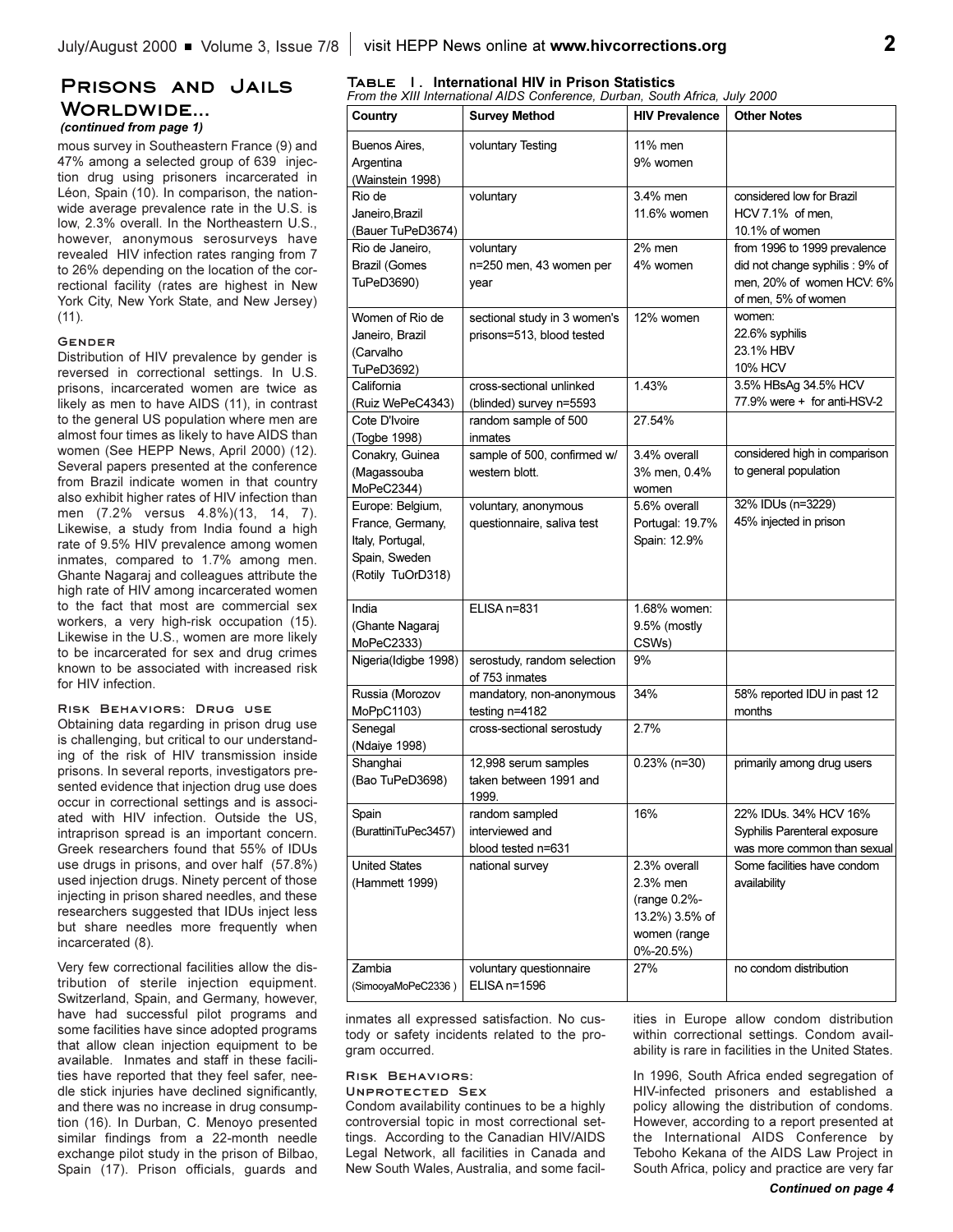## **Prisons and Jails Worldwide...**

*(continued from page 1)*

mous survey in Southeastern France (9) and 47% among a selected group of 639 injection drug using prisoners incarcerated in Léon, Spain (10). In comparison, the nationwide average prevalence rate in the U.S. is low, 2.3% overall. In the Northeastern U.S., however, anonymous serosurveys have revealed HIV infection rates ranging from 7 to 26% depending on the location of the correctional facility (rates are highest in New York City, New York State, and New Jersey) (11).

### **Gender**

Distribution of HIV prevalence by gender is reversed in correctional settings. In U.S. prisons, incarcerated women are twice as likely as men to have AIDS (11), in contrast to the general US population where men are almost four times as likely to have AIDS than women (See HEPP News, April 2000) (12). Several papers presented at the conference from Brazil indicate women in that country also exhibit higher rates of HIV infection than men (7.2% versus 4.8%)(13, 14, 7). Likewise, a study from India found a high rate of 9.5% HIV prevalence among women inmates, compared to 1.7% among men. Ghante Nagaraj and colleagues attribute the high rate of HIV among incarcerated women to the fact that most are commercial sex workers, a very high-risk occupation (15). Likewise in the U.S., women are more likely to be incarcerated for sex and drug crimes known to be associated with increased risk for HIV infection.

### **Risk Behaviors: Drug use**

Obtaining data regarding in prison drug use is challenging, but critical to our understanding of the risk of HIV transmission inside prisons. In several reports, investigators presented evidence that injection drug use does occur in correctional settings and is associated with HIV infection. Outside the US, intraprison spread is an important concern. Greek researchers found that 55% of IDUs use drugs in prisons, and over half (57.8%) used injection drugs. Ninety percent of those injecting in prison shared needles, and these researchers suggested that IDUs inject less but share needles more frequently when incarcerated (8).

Very few correctional facilities allow the distribution of sterile injection equipment. Switzerland, Spain, and Germany, however, have had successful pilot programs and some facilities have since adopted programs that allow clean injection equipment to be available. Inmates and staff in these facilities have reported that they feel safer, needle stick injuries have declined significantly, and there was no increase in drug consumption (16). In Durban, C. Menoyo presented similar findings from a 22-month needle exchange pilot study in the prison of Bilbao, Spain (17). Prison officials, guards and

# **Table 1. International HIV in Prison Statistics** *From the XIII International AIDS Conference, Durban, South Africa, July 2000*

| Country                                                                                        | <b>Survey Method</b>                                            | <b>HIV Prevalence</b>                                                                   | <b>Other Notes</b>                                                                                                  |
|------------------------------------------------------------------------------------------------|-----------------------------------------------------------------|-----------------------------------------------------------------------------------------|---------------------------------------------------------------------------------------------------------------------|
| Buenos Aires,<br>Argentina<br>(Wainstein 1998)                                                 | voluntary Testing                                               | 11% men<br>9% women                                                                     |                                                                                                                     |
| Rio de<br>Janeiro, Brazil<br>(Bauer TuPeD3674)                                                 | voluntary                                                       | 3.4% men<br>11.6% women                                                                 | considered low for Brazil<br>HCV 7.1% of men,<br>10.1% of women                                                     |
| Rio de Janeiro,<br>Brazil (Gomes<br>TuPeD3690)                                                 | voluntary<br>n=250 men, 43 women per<br>year                    | 2% men<br>4% women                                                                      | from 1996 to 1999 prevalence<br>did not change syphilis : 9% of<br>men, 20% of women HCV: 6%<br>of men, 5% of women |
| Women of Rio de<br>Janeiro, Brazil<br>(Carvalho<br>TuPeD3692)                                  | sectional study in 3 women's<br>prisons=513, blood tested       | 12% women                                                                               | women:<br>22.6% syphilis<br>23.1% HBV<br>10% HCV                                                                    |
| California<br>(Ruiz WePeC4343)                                                                 | cross-sectional unlinked<br>(blinded) survey n=5593             | 1.43%                                                                                   | 3.5% HBsAg 34.5% HCV<br>77.9% were + for anti-HSV-2                                                                 |
| Cote D'Ivoire<br>(Togbe 1998)                                                                  | random sample of 500<br>inmates                                 | 27.54%                                                                                  |                                                                                                                     |
| Conakry, Guinea<br>(Magassouba<br>MoPeC2344)                                                   | sample of 500, confirmed w/<br>western blott.                   | 3.4% overall<br>3% men, 0.4%<br>women                                                   | considered high in comparison<br>to general population                                                              |
| Europe: Belgium,<br>France, Germany,<br>Italy, Portugal,<br>Spain, Sweden<br>(Rotily TuOrD318) | voluntary, anonymous<br>questionnaire, saliva test              | 5.6% overall<br>Portugal: 19.7%<br>Spain: 12.9%                                         | 32% IDUs (n=3229)<br>45% injected in prison                                                                         |
| India<br>(Ghante Nagaraj<br>MoPeC2333)                                                         | ELISA n=831                                                     | 1.68% women:<br>9.5% (mostly<br>CSWs)                                                   |                                                                                                                     |
| Nigeria(Idigbe 1998)                                                                           | serostudy, random selection<br>of 753 inmates                   | 9%                                                                                      |                                                                                                                     |
| Russia (Morozov<br>MoPpC1103)                                                                  | mandatory, non-anonymous<br>testing n=4182                      | 34%                                                                                     | 58% reported IDU in past 12<br>months                                                                               |
| Senegal<br>(Ndaiye 1998)                                                                       | cross-sectional serostudy                                       | 2.7%                                                                                    |                                                                                                                     |
| Shanghai<br>(Bao TuPeD3698)                                                                    | 12,998 serum samples<br>taken between 1991 and<br><u> 1999.</u> | $0.23\%$ (n=30)                                                                         | primarily among drug users                                                                                          |
| Spain<br>(BurattiniTuPec3457)                                                                  | random sampled<br>interviewed and<br>blood tested n=631         | 16%                                                                                     | 22% IDUs. 34% HCV 16%<br>Syphilis Parenteral exposure<br>was more common than sexual                                |
| <b>United States</b><br>(Hammett 1999)                                                         | national survey                                                 | 2.3% overall<br>2.3% men<br>(range 0.2%-<br>13.2%) 3.5% of<br>women (range<br>0%-20.5%) | Some facilities have condom<br>availability                                                                         |
| Zambia<br>(SimooyaMoPeC2336)                                                                   | voluntary questionnaire<br>$ELISA$ n=1596                       | 27%                                                                                     | no condom distribution                                                                                              |

inmates all expressed satisfaction. No custody or safety incidents related to the program occurred.

### **Risk Behaviors:**

**Unprotected Sex** Condom availability continues to be a highly controversial topic in most correctional settings. According to the Canadian HIV/AIDS Legal Network, all facilities in Canada and New South Wales, Australia, and some facilities in Europe allow condom distribution within correctional settings. Condom availability is rare in facilities in the United States.

In 1996, South Africa ended segregation of HIV-infected prisoners and established a policy allowing the distribution of condoms. However, according to a report presented at the International AIDS Conference by Teboho Kekana of the AIDS Law Project in South Africa, policy and practice are very far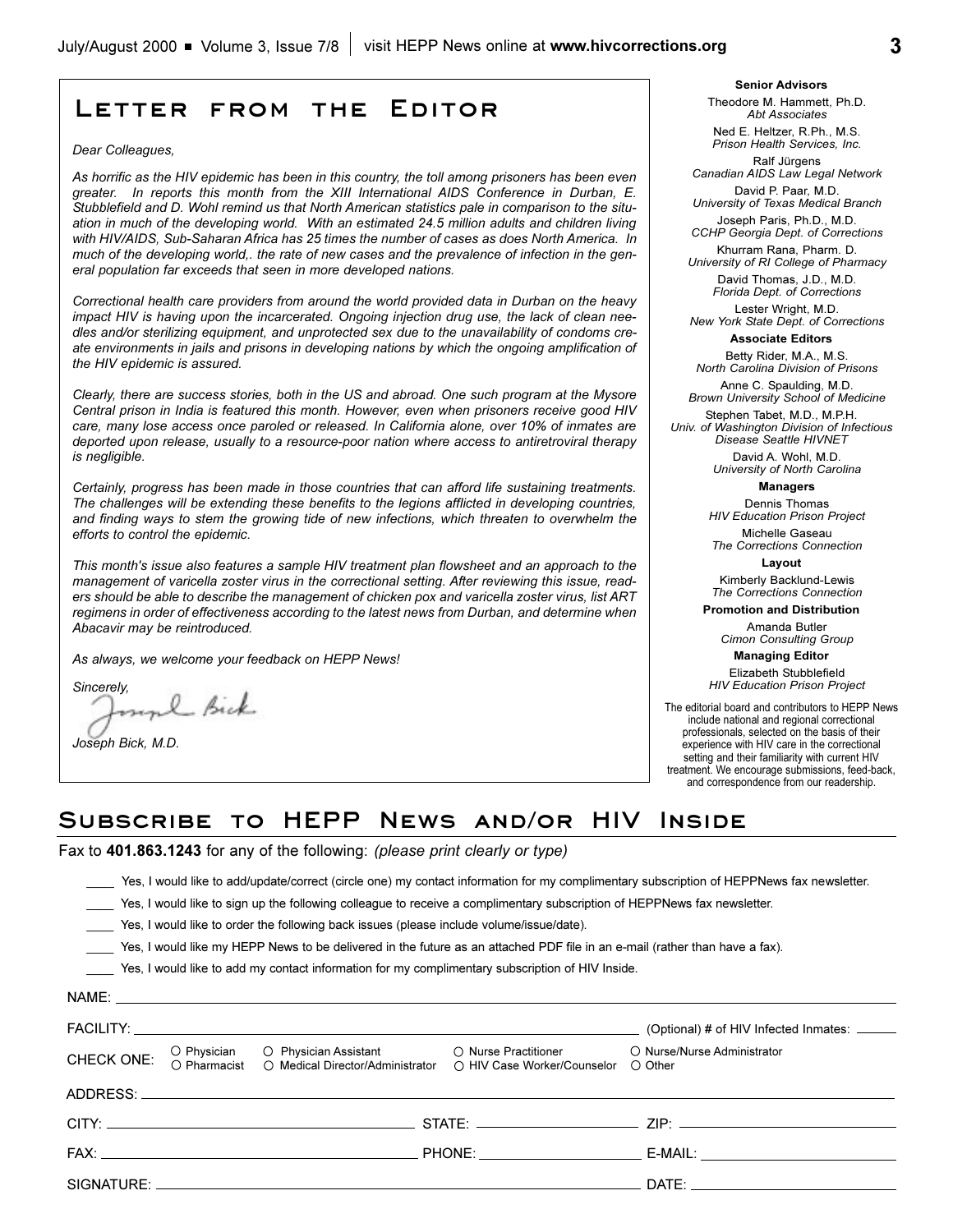## **Letter from the Editor**

#### *Dear Colleagues,*

*As horrific as the HIV epidemic has been in this country, the toll among prisoners has been even greater. In reports this month from the XIII International AIDS Conference in Durban, E. Stubblefield and D. Wohl remind us that North American statistics pale in comparison to the situation in much of the developing world. With an estimated 24.5 million adults and children living with HIV/AIDS, Sub-Saharan Africa has 25 times the number of cases as does North America. In much of the developing world,. the rate of new cases and the prevalence of infection in the general population far exceeds that seen in more developed nations.*

*Correctional health care providers from around the world provided data in Durban on the heavy impact HIV is having upon the incarcerated. Ongoing injection drug use, the lack of clean needles and/or sterilizing equipment, and unprotected sex due to the unavailability of condoms create environments in jails and prisons in developing nations by which the ongoing amplification of the HIV epidemic is assured.*

*Clearly, there are success stories, both in the US and abroad. One such program at the Mysore Central prison in India is featured this month. However, even when prisoners receive good HIV care, many lose access once paroled or released. In California alone, over 10% of inmates are deported upon release, usually to a resource-poor nation where access to antiretroviral therapy is negligible.* 

*Certainly, progress has been made in those countries that can afford life sustaining treatments. The challenges will be extending these benefits to the legions afflicted in developing countries, and finding ways to stem the growing tide of new infections, which threaten to overwhelm the efforts to control the epidemic.*

*This month's issue also features a sample HIV treatment plan flowsheet and an approach to the management of varicella zoster virus in the correctional setting. After reviewing this issue, readers should be able to describe the management of chicken pox and varicella zoster virus, list ART regimens in order of effectiveness according to the latest news from Durban, and determine when Abacavir may be reintroduced.*

*As always, we welcome your feedback on HEPP News!*

*Sincerely,*

l Bick

*Joseph Bick, M.D.*

**Senior Advisors** Theodore M. Hammett, Ph.D. *Abt Associates*

Ned E. Heltzer, R.Ph., M.S. *Prison Health Services, Inc.*

Ralf Jürgens *Canadian AIDS Law Legal Network* David P. Paar, M.D.

*University of Texas Medical Branch* Joseph Paris, Ph.D., M.D.

*CCHP Georgia Dept. of Corrections*  Khurram Rana, Pharm. D.

*University of RI College of Pharmacy* David Thomas, J.D., M.D. *Florida Dept. of Corrections*

Lester Wright, M.D. *New York State Dept. of Corrections*

**Associate Editors**

Betty Rider, M.A., M.S. *North Carolina Division of Prisons*

Anne C. Spaulding, M.D. *Brown University School of Medicine*

Stephen Tabet, M.D., M.P.H. *Univ. of Washington Division of Infectious Disease Seattle HIVNET*

> David A. Wohl, M.D. *University of North Carolina*

> > **Managers**

Dennis Thomas *HIV Education Prison Project*

Michelle Gaseau *The Corrections Connection*

**Layout** Kimberly Backlund-Lewis

*The Corrections Connection*

**Promotion and Distribution**

Amanda Butler *Cimon Consulting Group*

**Managing Editor** 

Elizabeth Stubblefield *HIV Education Prison Project*

The editorial board and contributors to HEPP News include national and regional correctional professionals, selected on the basis of their experience with HIV care in the correctional setting and their familiarity with current HIV treatment. We encourage submissions, feed-back, and correspondence from our readership.

## **Subscribe to HEPP News and/or HIV Inside**

Fax to **401.863.1243** for any of the following: *(please print clearly or type)*

\_\_\_\_ Yes, I would like to add/update/correct (circle one) my contact information for my complimentary subscription of HEPPNews fax newsletter.

Yes, I would like to sign up the following colleague to receive a complimentary subscription of HEPPNews fax newsletter.

\_\_\_\_ Yes, I would like to order the following back issues (please include volume/issue/date).

\_\_\_\_ Yes, I would like my HEPP News to be delivered in the future as an attached PDF file in an e-mail (rather than have a fax).

\_\_\_\_ Yes, I would like to add my contact information for my complimentary subscription of HIV Inside.

|  |                                                                                                                                                                            | (Optional) # of HIV Infected Inmates: ______                                                                                                                                                                                   |
|--|----------------------------------------------------------------------------------------------------------------------------------------------------------------------------|--------------------------------------------------------------------------------------------------------------------------------------------------------------------------------------------------------------------------------|
|  | CHECK ONE: O Physician O Physician Assistant O Nurse Practitioner O Nurse/<br>CHECK ONE: O Pharmacist O Medical Director/Administrator O HIV Case Worker/Counselor O Other | ○ Nurse/Nurse Administrator                                                                                                                                                                                                    |
|  |                                                                                                                                                                            |                                                                                                                                                                                                                                |
|  |                                                                                                                                                                            |                                                                                                                                                                                                                                |
|  |                                                                                                                                                                            |                                                                                                                                                                                                                                |
|  |                                                                                                                                                                            | DATE: the contract of the contract of the contract of the contract of the contract of the contract of the contract of the contract of the contract of the contract of the contract of the contract of the contract of the cont |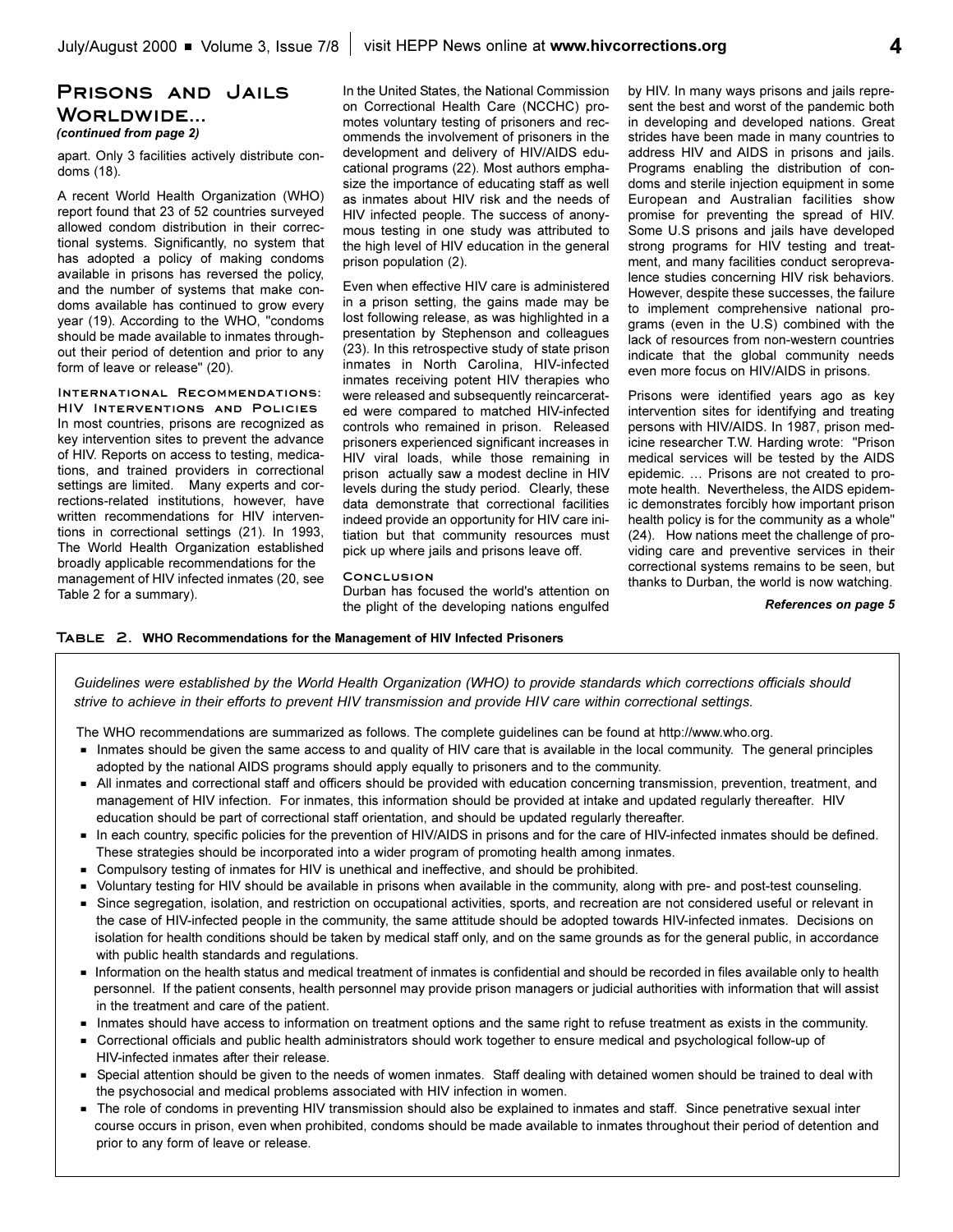## **Prisons and Jails Worldwide...**  *(continued from page 2)*

apart. Only 3 facilities actively distribute condoms (18).

A recent World Health Organization (WHO) report found that 23 of 52 countries surveyed allowed condom distribution in their correctional systems. Significantly, no system that has adopted a policy of making condoms available in prisons has reversed the policy, and the number of systems that make condoms available has continued to grow every year (19). According to the WHO, "condoms should be made available to inmates throughout their period of detention and prior to any form of leave or release" (20).

**International Recommendations:**

**HIV Interventions and Policies** In most countries, prisons are recognized as key intervention sites to prevent the advance of HIV. Reports on access to testing, medications, and trained providers in correctional settings are limited. Many experts and corrections-related institutions, however, have written recommendations for HIV interventions in correctional settings (21). In 1993, The World Health Organization established broadly applicable recommendations for the management of HIV infected inmates (20, see Table 2 for a summary).

In the United States, the National Commission on Correctional Health Care (NCCHC) promotes voluntary testing of prisoners and recommends the involvement of prisoners in the development and delivery of HIV/AIDS educational programs (22). Most authors emphasize the importance of educating staff as well as inmates about HIV risk and the needs of HIV infected people. The success of anonymous testing in one study was attributed to the high level of HIV education in the general prison population (2).

Even when effective HIV care is administered in a prison setting, the gains made may be lost following release, as was highlighted in a presentation by Stephenson and colleagues (23). In this retrospective study of state prison inmates in North Carolina, HIV-infected inmates receiving potent HIV therapies who were released and subsequently reincarcerated were compared to matched HIV-infected controls who remained in prison. Released prisoners experienced significant increases in HIV viral loads, while those remaining in prison actually saw a modest decline in HIV levels during the study period. Clearly, these data demonstrate that correctional facilities indeed provide an opportunity for HIV care initiation but that community resources must pick up where jails and prisons leave off.

#### **Conclusion**

Durban has focused the world's attention on the plight of the developing nations engulfed by HIV. In many ways prisons and jails represent the best and worst of the pandemic both in developing and developed nations. Great strides have been made in many countries to address HIV and AIDS in prisons and jails. Programs enabling the distribution of condoms and sterile injection equipment in some European and Australian facilities show promise for preventing the spread of HIV. Some U.S prisons and jails have developed strong programs for HIV testing and treatment, and many facilities conduct seroprevalence studies concerning HIV risk behaviors. However, despite these successes, the failure to implement comprehensive national programs (even in the U.S) combined with the lack of resources from non-western countries indicate that the global community needs even more focus on HIV/AIDS in prisons.

Prisons were identified years ago as key intervention sites for identifying and treating persons with HIV/AIDS. In 1987, prison medicine researcher T.W. Harding wrote: "Prison medical services will be tested by the AIDS epidemic. ... Prisons are not created to promote health. Nevertheless, the AIDS epidemic demonstrates forcibly how important prison health policy is for the community as a whole" (24). How nations meet the challenge of providing care and preventive services in their correctional systems remains to be seen, but thanks to Durban, the world is now watching.

*References on page 5*

#### **Table 2. WHO Recommendations for the Management of HIV Infected Prisoners**

*Guidelines were established by the World Health Organization (WHO) to provide standards which corrections officials should strive to achieve in their efforts to prevent HIV transmission and provide HIV care within correctional settings.* 

The WHO recommendations are summarized as follows. The complete guidelines can be found at http://www.who.org.

- Inmates should be given the same access to and quality of HIV care that is available in the local community. The general principles adopted by the national AIDS programs should apply equally to prisoners and to the community.
- G All inmates and correctional staff and officers should be provided with education concerning transmission, prevention, treatment, and management of HIV infection. For inmates, this information should be provided at intake and updated regularly thereafter. HIV education should be part of correctional staff orientation, and should be updated regularly thereafter.
- In each country, specific policies for the prevention of HIV/AIDS in prisons and for the care of HIV-infected inmates should be defined. These strategies should be incorporated into a wider program of promoting health among inmates.
- Compulsory testing of inmates for HIV is unethical and ineffective, and should be prohibited.
- Voluntary testing for HIV should be available in prisons when available in the community, along with pre- and post-test counseling.
- G Since segregation, isolation, and restriction on occupational activities, sports, and recreation are not considered useful or relevant in the case of HIV-infected people in the community, the same attitude should be adopted towards HIV-infected inmates. Decisions on isolation for health conditions should be taken by medical staff only, and on the same grounds as for the general public, in accordance with public health standards and regulations.
- Information on the health status and medical treatment of inmates is confidential and should be recorded in files available only to health personnel. If the patient consents, health personnel may provide prison managers or judicial authorities with information that will assist in the treatment and care of the patient.
- Inmates should have access to information on treatment options and the same right to refuse treatment as exists in the community.
- G Correctional officials and public health administrators should work together to ensure medical and psychological follow-up of HIV-infected inmates after their release.
- Special attention should be given to the needs of women inmates. Staff dealing with detained women should be trained to deal with the psychosocial and medical problems associated with HIV infection in women.
- The role of condoms in preventing HIV transmission should also be explained to inmates and staff. Since penetrative sexual inter course occurs in prison, even when prohibited, condoms should be made available to inmates throughout their period of detention and prior to any form of leave or release.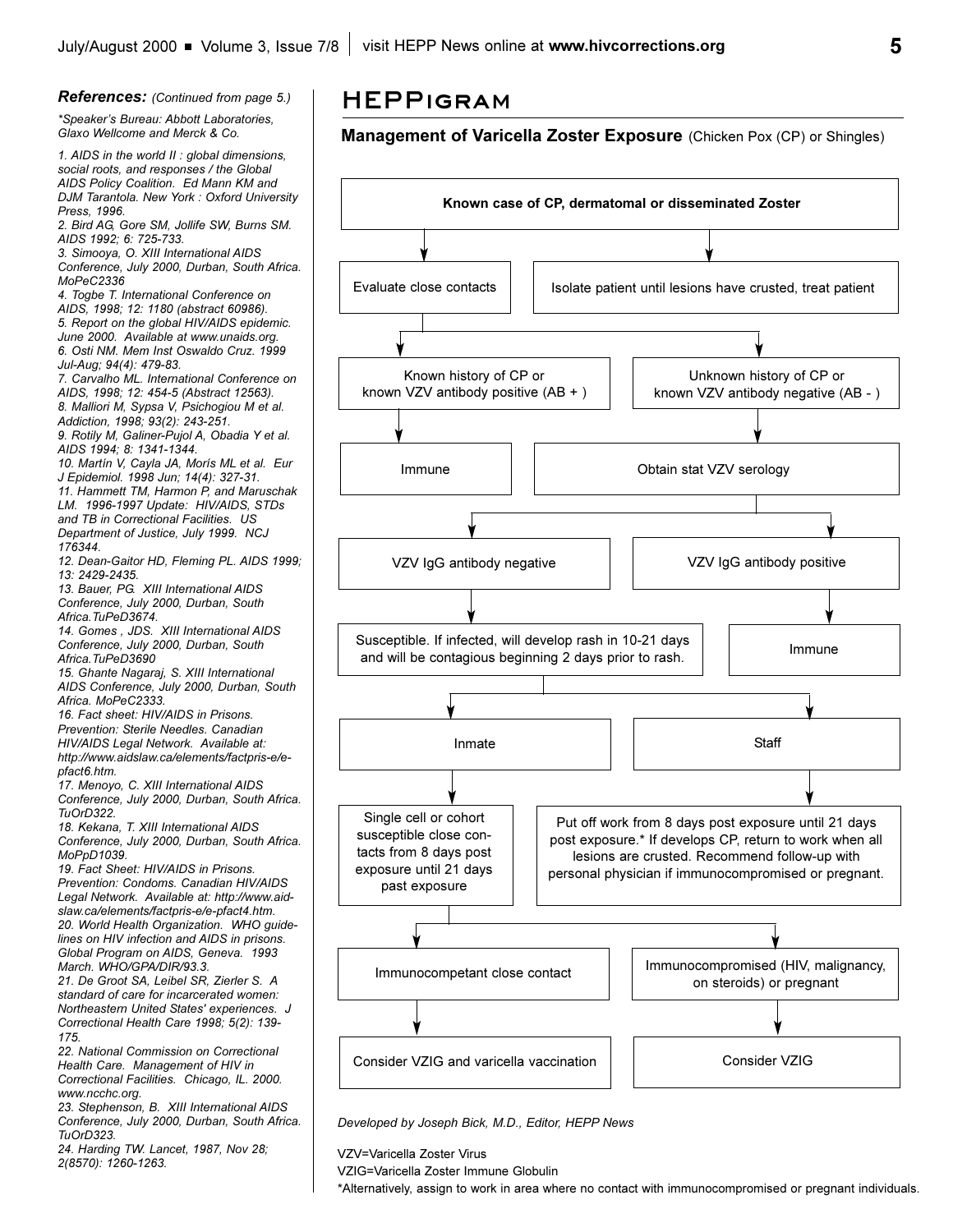**5**

#### *References: (Continued from page 5.) \*Speakers Bureau: Abbott Laboratories, Glaxo Wellcome and Merck & Co. 1. AIDS in the world II : global dimensions, social roots, and responses / the Global AIDS Policy Coalition. Ed Mann KM and DJM Tarantola. New York : Oxford University Press, 1996. 2. Bird AG, Gore SM, Jollife SW, Burns SM. AIDS 1992; 6: 725-733. 3. Simooya, O. XIII International AIDS Conference, July 2000, Durban, South Africa. MoPeC2336 4. Togbe T. International Conference on AIDS, 1998; 12: 1180 (abstract 60986). 5. Report on the global HIV/AIDS epidemic. June 2000. Available at www.unaids.org. 6. Osti NM. Mem Inst Oswaldo Cruz. 1999 Jul-Aug; 94(4): 479-83. 7. Carvalho ML. International Conference on AIDS, 1998; 12: 454-5 (Abstract 12563). 8. Malliori M, Sypsa V, Psichogiou M et al. Addiction, 1998; 93(2): 243-251. 9. Rotily M, Galiner-Pujol A, Obadia Y et al. AIDS 1994; 8: 1341-1344. 10. Martín V, Cayla JA, Morís ML et al. Eur J Epidemiol. 1998 Jun; 14(4): 327-31. 11. Hammett TM, Harmon P, and Maruschak LM. 1996-1997 Update: HIV/AIDS, STDs and TB in Correctional Facilities. US Department of Justice, July 1999. NCJ 176344. 12. Dean-Gaitor HD, Fleming PL. AIDS 1999; 13: 2429-2435. 13. Bauer, PG. XIII International AIDS Conference, July 2000, Durban, South Africa.TuPeD3674. 14. Gomes , JDS. XIII International AIDS Conference, July 2000, Durban, South Africa.TuPeD3690 15. Ghante Nagaraj, S. XIII International AIDS Conference, July 2000, Durban, South Africa. MoPeC2333. 16. Fact sheet: HIV/AIDS in Prisons. Prevention: Sterile Needles. Canadian HIV/AIDS Legal Network. Available at: http://www.aidslaw.ca/elements/factpris-e/epfact6.htm. 17. Menoyo, C. XIII International AIDS Conference, July 2000, Durban, South Africa. TuOrD322. 18. Kekana, T. XIII International AIDS Conference, July 2000, Durban, South Africa. MoPpD1039. 19. Fact Sheet: HIV/AIDS in Prisons. Prevention: Condoms. Canadian HIV/AIDS Legal Network. Available at: http://www.aidslaw.ca/elements/factpris-e/e-pfact4.htm. 20. World Health Organization. WHO guidelines on HIV infection and AIDS in prisons. Global Program on AIDS, Geneva. 1993 March. WHO/GPA/DIR/93.3.*

*21. De Groot SA, Leibel SR, Zierler S. A standard of care for incarcerated women: Northeastern United States' experiences. J Correctional Health Care 1998; 5(2): 139- 175.*

*22. National Commission on Correctional Health Care. Management of HIV in Correctional Facilities. Chicago, IL. 2000. www.ncchc.org.*

*23. Stephenson, B. XIII International AIDS Conference, July 2000, Durban, South Africa. TuOrD323.*

*24. Harding TW. Lancet, 1987, Nov 28; 2(8570): 1260-1263.*

## **HEPPigram**

## **Management of Varicella Zoster Exposure** (Chicken Pox (CP) or Shingles)



*Developed by Joseph Bick, M.D., Editor, HEPP News*

VZV=Varicella Zoster Virus

VZIG=Varicella Zoster Immune Globulin

\*Alternatively, assign to work in area where no contact with immunocompromised or pregnant individuals.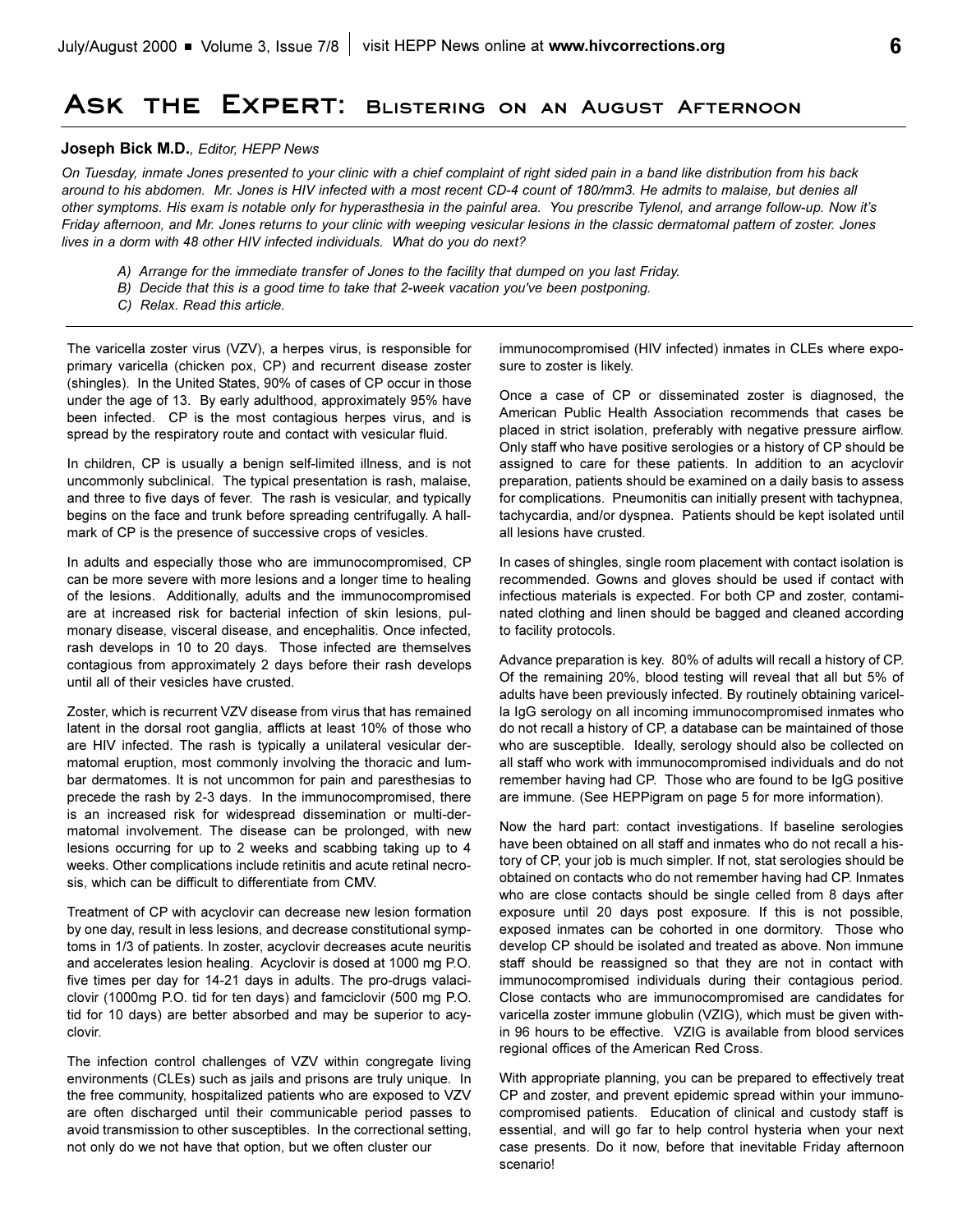## **Ask the Expert: Blistering on an August Afternoon**

### **Joseph Bick M.D.***, Editor, HEPP News*

*On Tuesday, inmate Jones presented to your clinic with a chief complaint of right sided pain in a band like distribution from his back around to his abdomen. Mr. Jones is HIV infected with a most recent CD-4 count of 180/mm3. He admits to malaise, but denies all other symptoms. His exam is notable only for hyperasthesia in the painful area. You prescribe Tylenol, and arrange follow-up. Now its Friday afternoon, and Mr. Jones returns to your clinic with weeping vesicular lesions in the classic dermatomal pattern of zoster. Jones lives in a dorm with 48 other HIV infected individuals. What do you do next?*

- *A) Arrange for the immediate transfer of Jones to the facility that dumped on you last Friday.*
- *B) Decide that this is a good time to take that 2-week vacation you've been postponing.*
- *C) Relax. Read this article.*

The varicella zoster virus (VZV), a herpes virus, is responsible for primary varicella (chicken pox, CP) and recurrent disease zoster (shingles). In the United States, 90% of cases of CP occur in those under the age of 13. By early adulthood, approximately 95% have been infected. CP is the most contagious herpes virus, and is spread by the respiratory route and contact with vesicular fluid.

In children, CP is usually a benign self-limited illness, and is not uncommonly subclinical. The typical presentation is rash, malaise, and three to five days of fever. The rash is vesicular, and typically begins on the face and trunk before spreading centrifugally. A hallmark of CP is the presence of successive crops of vesicles.

In adults and especially those who are immunocompromised, CP can be more severe with more lesions and a longer time to healing of the lesions. Additionally, adults and the immunocompromised are at increased risk for bacterial infection of skin lesions, pulmonary disease, visceral disease, and encephalitis. Once infected, rash develops in 10 to 20 days. Those infected are themselves contagious from approximately 2 days before their rash develops until all of their vesicles have crusted.

Zoster, which is recurrent VZV disease from virus that has remained latent in the dorsal root ganglia, afflicts at least 10% of those who are HIV infected. The rash is typically a unilateral vesicular dermatomal eruption, most commonly involving the thoracic and lumbar dermatomes. It is not uncommon for pain and paresthesias to precede the rash by 2-3 days. In the immunocompromised, there is an increased risk for widespread dissemination or multi-dermatomal involvement. The disease can be prolonged, with new lesions occurring for up to 2 weeks and scabbing taking up to 4 weeks. Other complications include retinitis and acute retinal necrosis, which can be difficult to differentiate from CMV.

Treatment of CP with acyclovir can decrease new lesion formation by one day, result in less lesions, and decrease constitutional symptoms in 1/3 of patients. In zoster, acyclovir decreases acute neuritis and accelerates lesion healing. Acyclovir is dosed at 1000 mg P.O. five times per day for 14-21 days in adults. The pro-drugs valaciclovir (1000mg P.O. tid for ten days) and famciclovir (500 mg P.O. tid for 10 days) are better absorbed and may be superior to acyclovir.

The infection control challenges of VZV within congregate living environments (CLEs) such as jails and prisons are truly unique. In the free community, hospitalized patients who are exposed to VZV are often discharged until their communicable period passes to avoid transmission to other susceptibles. In the correctional setting, not only do we not have that option, but we often cluster our

immunocompromised (HIV infected) inmates in CLEs where exposure to zoster is likely.

Once a case of CP or disseminated zoster is diagnosed, the American Public Health Association recommends that cases be placed in strict isolation, preferably with negative pressure airflow. Only staff who have positive serologies or a history of CP should be assigned to care for these patients. In addition to an acyclovir preparation, patients should be examined on a daily basis to assess for complications. Pneumonitis can initially present with tachypnea, tachycardia, and/or dyspnea. Patients should be kept isolated until all lesions have crusted.

In cases of shingles, single room placement with contact isolation is recommended. Gowns and gloves should be used if contact with infectious materials is expected. For both CP and zoster, contaminated clothing and linen should be bagged and cleaned according to facility protocols.

Advance preparation is key. 80% of adults will recall a history of CP. Of the remaining 20%, blood testing will reveal that all but 5% of adults have been previously infected. By routinely obtaining varicella IgG serology on all incoming immunocompromised inmates who do not recall a history of CP, a database can be maintained of those who are susceptible. Ideally, serology should also be collected on all staff who work with immunocompromised individuals and do not remember having had CP. Those who are found to be IgG positive are immune. (See HEPPigram on page 5 for more information).

Now the hard part: contact investigations. If baseline serologies have been obtained on all staff and inmates who do not recall a history of CP, your job is much simpler. If not, stat serologies should be obtained on contacts who do not remember having had CP. Inmates who are close contacts should be single celled from 8 days after exposure until 20 days post exposure. If this is not possible, exposed inmates can be cohorted in one dormitory. Those who develop CP should be isolated and treated as above. Non immune staff should be reassigned so that they are not in contact with immunocompromised individuals during their contagious period. Close contacts who are immunocompromised are candidates for varicella zoster immune globulin (VZIG), which must be given within 96 hours to be effective. VZIG is available from blood services regional offices of the American Red Cross.

With appropriate planning, you can be prepared to effectively treat CP and zoster, and prevent epidemic spread within your immunocompromised patients. Education of clinical and custody staff is essential, and will go far to help control hysteria when your next case presents. Do it now, before that inevitable Friday afternoon scenario!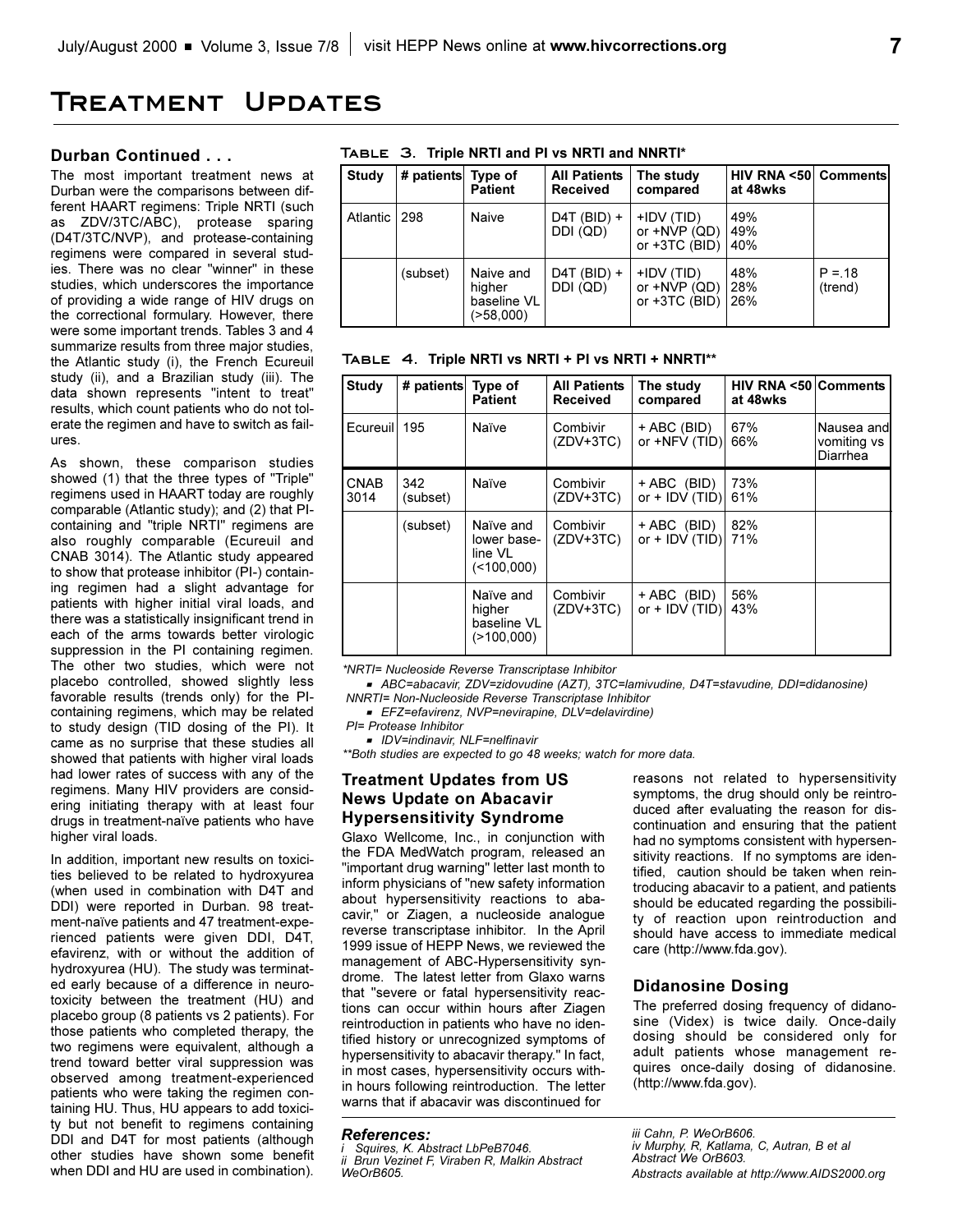## **Treatment Updates**

#### **Durban Continued . . .**

The most important treatment news at Durban were the comparisons between different HAART regimens: Triple NRTI (such as ZDV/3TC/ABC), protease sparing (D4T/3TC/NVP), and protease-containing regimens were compared in several studies. There was no clear "winner" in these studies, which underscores the importance of providing a wide range of HIV drugs on the correctional formulary. However, there were some important trends. Tables 3 and 4 summarize results from three major studies, the Atlantic study (i), the French Ecureuil study (ii), and a Brazilian study (iii). The data shown represents "intent to treat" results, which count patients who do not tolerate the regimen and have to switch as failures.

As shown, these comparison studies showed (1) that the three types of "Triple" regimens used in HAART today are roughly comparable (Atlantic study); and (2) that PIcontaining and "triple NRTI" regimens are also roughly comparable (Ecureuil and CNAB 3014). The Atlantic study appeared to show that protease inhibitor (PI-) containing regimen had a slight advantage for patients with higher initial viral loads, and there was a statistically insignificant trend in each of the arms towards better virologic suppression in the PI containing regimen. The other two studies, which were not placebo controlled, showed slightly less favorable results (trends only) for the PIcontaining regimens, which may be related to study design (TID dosing of the PI). It came as no surprise that these studies all showed that patients with higher viral loads had lower rates of success with any of the regimens. Many HIV providers are considering initiating therapy with at least four drugs in treatment-naïve patients who have higher viral loads.

In addition, important new results on toxicities believed to be related to hydroxyurea (when used in combination with D4T and DDI) were reported in Durban. 98 treatment-naïve patients and 47 treatment-experienced patients were given DDI, D4T, efavirenz, with or without the addition of hydroxyurea (HU). The study was terminated early because of a difference in neurotoxicity between the treatment (HU) and placebo group (8 patients vs 2 patients). For those patients who completed therapy, the two regimens were equivalent, although a trend toward better viral suppression was observed among treatment-experienced patients who were taking the regimen containing HU. Thus, HU appears to add toxicity but not benefit to regimens containing DDI and D4T for most patients (although other studies have shown some benefit when DDI and HU are used in combination).

|  | TABLE 3. Triple NRTI and PI vs NRTI and NNRTI* |  |  |
|--|------------------------------------------------|--|--|
|  |                                                |  |  |

| <b>Study</b> | # patients Type of | <b>Patient</b>                                  | <b>All Patients</b><br><b>Received</b> | The study<br>compared                             | <b>HIV RNA &lt;50 Comments</b><br>at 48wks |                     |
|--------------|--------------------|-------------------------------------------------|----------------------------------------|---------------------------------------------------|--------------------------------------------|---------------------|
| Atlantic I   | 298                | Naive                                           | $D4T$ (BID) +<br>DDI (QD)              | +IDV (TID)<br>or $+NVP$ (QD)<br>or $+3TC$ (BID)   | 49%<br>49%<br>40%                          |                     |
|              | (subset)           | Naive and<br>hiaher<br>baseline VL<br>(>58,000) | $D4T$ (BID) +<br>DDI (QD)              | $+IDV$ (TID)<br>or $+NVP$ (QD)<br>or $+3TC$ (BID) | 48%<br>28%<br>26%                          | $P = 18$<br>(trend) |

|  |  |  |  | TABLE 4. Triple NRTI vs NRTI + PI vs NRTI + NNRTI** |
|--|--|--|--|-----------------------------------------------------|
|  |  |  |  |                                                     |

| <b>Study</b>        | # patients      | Type of<br><b>Patient</b>                             | <b>All Patients</b><br><b>Received</b> | The study<br>compared           | <b>HIV RNA &lt;50 Comments</b><br>at 48wks |                                       |
|---------------------|-----------------|-------------------------------------------------------|----------------------------------------|---------------------------------|--------------------------------------------|---------------------------------------|
| Ecureuil            | 195             | Naïve                                                 | Combivir<br>$(ZDV+3TC)$                | + ABC (BID)<br>or +NFV (TID)    | 67%<br>66%                                 | Nausea and<br>vomiting vs<br>Diarrhea |
| <b>CNAB</b><br>3014 | 342<br>(subset) | Naïve                                                 | Combivir<br>(ZDV+3TC)                  | + ABC (BID)<br>or $+$ IDV (TID) | 73%<br>61%                                 |                                       |
|                     | (subset)        | Naïve and<br>lower base-<br>line VL<br>$($ < 100,000) | Combivir<br>$(ZDV+3TC)$                | + ABC (BID)<br>or $+$ IDV (TID) | 82%<br>71%                                 |                                       |
|                     |                 | Naïve and<br>higher<br>baseline VL<br>$($ >100,000)   | Combivir<br>$(ZDV+3TC)$                | + ABC (BID)<br>or $+$ IDV (TID) | 56%<br>43%                                 |                                       |

*\*NRTI= Nucleoside Reverse Transcriptase Inhibitor* 

<sup>G</sup>*ABC=abacavir, ZDV=zidovudine (AZT), 3TC=lamivudine, D4T=stavudine, DDI=didanosine) NNRTI= Non-Nucleoside Reverse Transcriptase Inhibitor* 

<sup>G</sup>*EFZ=efavirenz, NVP=nevirapine, DLV=delavirdine)*

```
PI= Protease Inhibitor
```
<sup>G</sup>*IDV=indinavir, NLF=nelfinavir*

*\*\*Both studies are expected to go 48 weeks; watch for more data.*

## **Treatment Updates from US News Update on Abacavir Hypersensitivity Syndrome**

Glaxo Wellcome, Inc., in conjunction with the FDA MedWatch program, released an "important drug warning" letter last month to inform physicians of "new safety information about hypersensitivity reactions to abacavir," or Ziagen, a nucleoside analogue reverse transcriptase inhibitor. In the April 1999 issue of HEPP News, we reviewed the management of ABC-Hypersensitivity syndrome. The latest letter from Glaxo warns that "severe or fatal hypersensitivity reactions can occur within hours after Ziagen reintroduction in patients who have no identified history or unrecognized symptoms of hypersensitivity to abacavir therapy." In fact, in most cases, hypersensitivity occurs within hours following reintroduction. The letter warns that if abacavir was discontinued for

### *References:*

*i Squires, K. Abstract LbPeB7046. ii Brun Vezinet F, Viraben R, Malkin Abstract WeOrB605.*

reasons not related to hypersensitivity symptoms, the drug should only be reintroduced after evaluating the reason for discontinuation and ensuring that the patient had no symptoms consistent with hypersensitivity reactions. If no symptoms are identified, caution should be taken when reintroducing abacavir to a patient, and patients should be educated regarding the possibility of reaction upon reintroduction and should have access to immediate medical care (http://www.fda.gov).

### **Didanosine Dosing**

The preferred dosing frequency of didanosine (Videx) is twice daily. Once-daily dosing should be considered only for adult patients whose management requires once-daily dosing of didanosine. (http://www.fda.gov).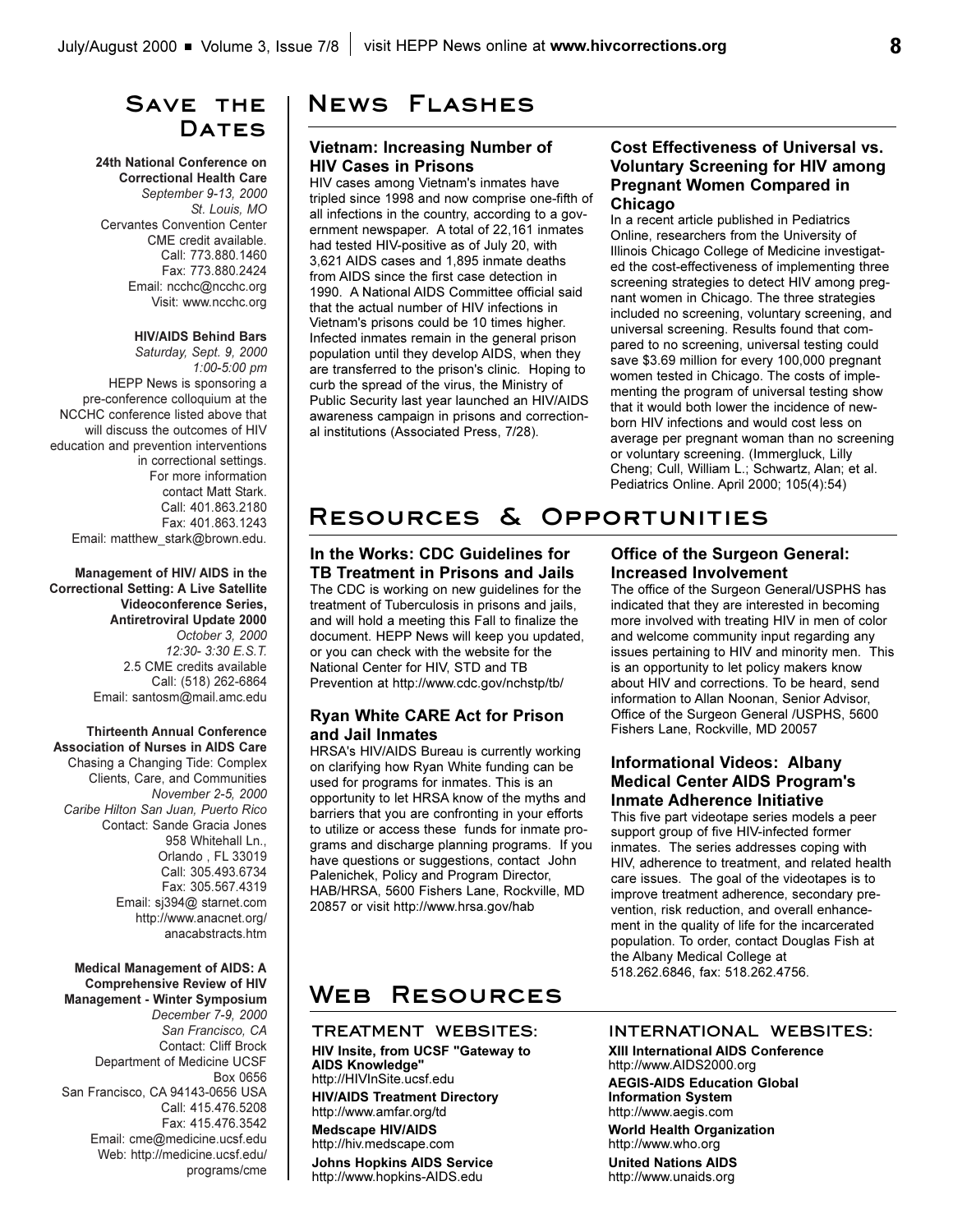## **Save the**  DATES

### **24th National Conference on Correctional Health Care**  *September 9-13, 2000 St. Louis, MO* Cervantes Convention Center CME credit available.

Call: 773.880.1460 Fax: 773.880.2424 Email: ncchc@ncchc.org Visit: www.ncchc.org

#### **HIV/AIDS Behind Bars**

*Saturday, Sept. 9, 2000 1:00-5:00 pm* HEPP News is sponsoring a pre-conference colloquium at the NCCHC conference listed above that will discuss the outcomes of HIV education and prevention interventions in correctional settings. For more information contact Matt Stark. Call: 401.863.2180 Fax: 401.863.1243 Email: matthew\_stark@brown.edu.

**Management of HIV/ AIDS in the Correctional Setting: A Live Satellite Videoconference Series, Antiretroviral Update 2000** *October 3, 2000 12:30- 3:30 E.S.T.* 2.5 CME credits available Call: (518) 262-6864 Email: santosm@mail.amc.edu

**Thirteenth Annual Conference Association of Nurses in AIDS Care** Chasing a Changing Tide: Complex Clients, Care, and Communities *November 2-5, 2000 Caribe Hilton San Juan, Puerto Rico* Contact: Sande Gracia Jones 958 Whitehall Ln., Orlando , FL 33019 Call: 305.493.6734 Fax: 305.567.4319 Email: sj394@ starnet.com http://www.anacnet.org/ anacabstracts.htm

### **Medical Management of AIDS: A Comprehensive Review of HIV**

**Management - Winter Symposium**  *December 7-9, 2000 San Francisco, CA* Contact: Cliff Brock Department of Medicine UCSF Box 0656 San Francisco, CA 94143-0656 USA Call: 415.476.5208 Fax: 415.476.3542 Email: cme@medicine.ucsf.edu Web: http://medicine.ucsf.edu/ programs/cme

## **News Flashes**

### **Vietnam: Increasing Number of HIV Cases in Prisons**

HIV cases among Vietnam's inmates have tripled since 1998 and now comprise one-fifth of all infections in the country, according to a government newspaper. A total of 22,161 inmates had tested HIV-positive as of July 20, with 3,621 AIDS cases and 1,895 inmate deaths from AIDS since the first case detection in 1990. A National AIDS Committee official said that the actual number of HIV infections in Vietnam's prisons could be 10 times higher. Infected inmates remain in the general prison population until they develop AIDS, when they are transferred to the prison's clinic. Hoping to curb the spread of the virus, the Ministry of Public Security last year launched an HIV/AIDS awareness campaign in prisons and correctional institutions (Associated Press, 7/28).

### **Cost Effectiveness of Universal vs. Voluntary Screening for HIV among Pregnant Women Compared in Chicago**

In a recent article published in Pediatrics Online, researchers from the University of Illinois Chicago College of Medicine investigated the cost-effectiveness of implementing three screening strategies to detect HIV among pregnant women in Chicago. The three strategies included no screening, voluntary screening, and universal screening. Results found that compared to no screening, universal testing could save \$3.69 million for every 100,000 pregnant women tested in Chicago. The costs of implementing the program of universal testing show that it would both lower the incidence of newborn HIV infections and would cost less on average per pregnant woman than no screening or voluntary screening. (Immergluck, Lilly Cheng; Cull, William L.; Schwartz, Alan; et al. Pediatrics Online. April 2000; 105(4):54)

# **Resources & Opportunities**

**In the Works: CDC Guidelines for TB Treatment in Prisons and Jails** The CDC is working on new guidelines for the treatment of Tuberculosis in prisons and jails, and will hold a meeting this Fall to finalize the document. HEPP News will keep you updated, or you can check with the website for the National Center for HIV, STD and TB Prevention at http://www.cdc.gov/nchstp/tb/

### **Ryan White CARE Act for Prison and Jail Inmates**

HRSA's HIV/AIDS Bureau is currently working on clarifying how Ryan White funding can be used for programs for inmates. This is an opportunity to let HRSA know of the myths and barriers that you are confronting in your efforts to utilize or access these funds for inmate programs and discharge planning programs. If you have questions or suggestions, contact John Palenichek, Policy and Program Director, HAB/HRSA, 5600 Fishers Lane, Rockville, MD 20857 or visit http://www.hrsa.gov/hab

### **Office of the Surgeon General: Increased Involvement**

The office of the Surgeon General/USPHS has indicated that they are interested in becoming more involved with treating HIV in men of color and welcome community input regarding any issues pertaining to HIV and minority men. This is an opportunity to let policy makers know about HIV and corrections. To be heard, send information to Allan Noonan, Senior Advisor, Office of the Surgeon General /USPHS, 5600 Fishers Lane, Rockville, MD 20057

### **Informational Videos: Albany Medical Center AIDS Program's Inmate Adherence Initiative**

This five part videotape series models a peer support group of five HIV-infected former inmates. The series addresses coping with HIV, adherence to treatment, and related health care issues. The goal of the videotapes is to improve treatment adherence, secondary prevention, risk reduction, and overall enhancement in the quality of life for the incarcerated population. To order, contact Douglas Fish at the Albany Medical College at 518.262.6846, fax: 518.262.4756.

# **Web Resources**

## **TREATMENT WEBSITES:**

**HIV Insite, from UCSF "Gateway to AIDS Knowledge"** http://HIVInSite.ucsf.edu **HIV/AIDS Treatment Directory**  http://www.amfar.org/td

**Medscape HIV/AIDS** http://hiv.medscape.com

**Johns Hopkins AIDS Service** http://www.hopkins-AIDS.edu

### **INTERNATIONAL WEBSITES:**

**XIII International AIDS Conference** http://www.AIDS2000.org

**AEGIS-AIDS Education Global Information System** http://www.aegis.com

**World Health Organization** http://www.who.org

**United Nations AIDS**  http://www.unaids.org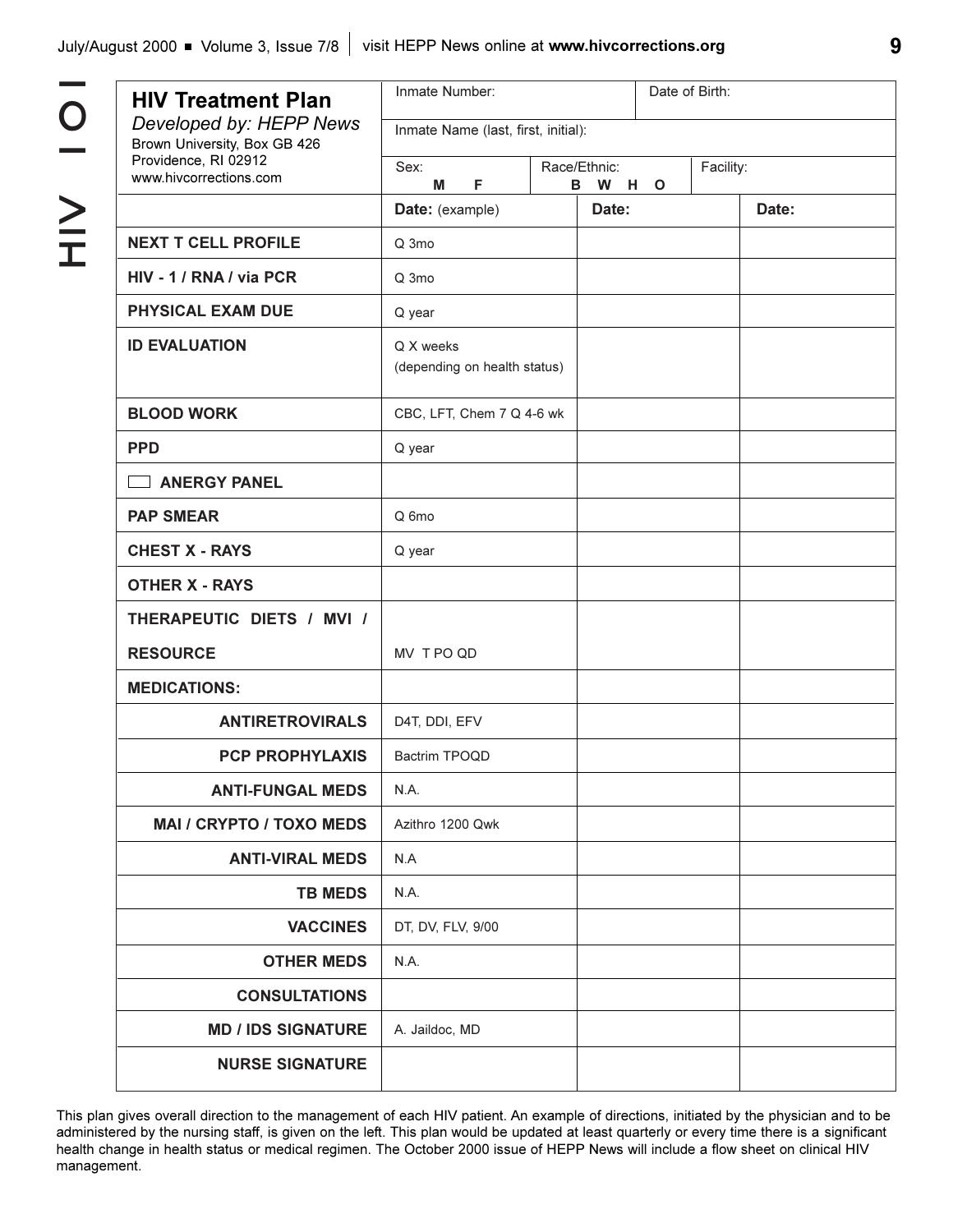$\Gamma$ 

| <b>HIV Treatment Plan</b>                               | Inmate Number:                            |                                      |       |  |  |  |  |  |  |  |
|---------------------------------------------------------|-------------------------------------------|--------------------------------------|-------|--|--|--|--|--|--|--|
| Developed by: HEPP News<br>Brown University, Box GB 426 | Inmate Name (last, first, initial):       |                                      |       |  |  |  |  |  |  |  |
| Providence, RI 02912<br>www.hivcorrections.com          | Sex:<br>M<br>F                            | Race/Ethnic:<br>Facility:<br>B W H O |       |  |  |  |  |  |  |  |
|                                                         | Date: (example)                           | Date:                                | Date: |  |  |  |  |  |  |  |
| <b>NEXT T CELL PROFILE</b>                              | Q 3mo                                     |                                      |       |  |  |  |  |  |  |  |
| HIV - 1 / RNA / via PCR                                 | Q 3mo                                     |                                      |       |  |  |  |  |  |  |  |
| <b>PHYSICAL EXAM DUE</b>                                | Q year                                    |                                      |       |  |  |  |  |  |  |  |
| <b>ID EVALUATION</b>                                    | Q X weeks<br>(depending on health status) |                                      |       |  |  |  |  |  |  |  |
| <b>BLOOD WORK</b>                                       | CBC, LFT, Chem 7 Q 4-6 wk                 |                                      |       |  |  |  |  |  |  |  |
| <b>PPD</b>                                              | Q year                                    |                                      |       |  |  |  |  |  |  |  |
| <b>ANERGY PANEL</b><br>$\sim$                           |                                           |                                      |       |  |  |  |  |  |  |  |
| <b>PAP SMEAR</b>                                        | Q 6mo                                     |                                      |       |  |  |  |  |  |  |  |
| <b>CHEST X - RAYS</b>                                   | Q year                                    |                                      |       |  |  |  |  |  |  |  |
| <b>OTHER X - RAYS</b>                                   |                                           |                                      |       |  |  |  |  |  |  |  |
| THERAPEUTIC DIETS / MVI /                               |                                           |                                      |       |  |  |  |  |  |  |  |
| <b>RESOURCE</b>                                         | MV TPO QD                                 |                                      |       |  |  |  |  |  |  |  |
| <b>MEDICATIONS:</b>                                     |                                           |                                      |       |  |  |  |  |  |  |  |
| <b>ANTIRETROVIRALS</b>                                  | D4T, DDI, EFV                             |                                      |       |  |  |  |  |  |  |  |
| <b>PCP PROPHYLAXIS</b>                                  | Bactrim TPOQD                             |                                      |       |  |  |  |  |  |  |  |
| <b>ANTI-FUNGAL MEDS</b>                                 | N.A.                                      |                                      |       |  |  |  |  |  |  |  |
| <b>MAI / CRYPTO / TOXO MEDS</b>                         | Azithro 1200 Qwk                          |                                      |       |  |  |  |  |  |  |  |
| <b>ANTI-VIRAL MEDS</b>                                  | N.A                                       |                                      |       |  |  |  |  |  |  |  |
| <b>TB MEDS</b>                                          | N.A.                                      |                                      |       |  |  |  |  |  |  |  |
| <b>VACCINES</b>                                         | DT, DV, FLV, 9/00                         |                                      |       |  |  |  |  |  |  |  |
| <b>OTHER MEDS</b>                                       | N.A.                                      |                                      |       |  |  |  |  |  |  |  |
| <b>CONSULTATIONS</b>                                    |                                           |                                      |       |  |  |  |  |  |  |  |
| <b>MD / IDS SIGNATURE</b>                               | A. Jaildoc, MD                            |                                      |       |  |  |  |  |  |  |  |
| <b>NURSE SIGNATURE</b>                                  |                                           |                                      |       |  |  |  |  |  |  |  |

This plan gives overall direction to the management of each HIV patient. An example of directions, initiated by the physician and to be administered by the nursing staff, is given on the left. This plan would be updated at least quarterly or every time there is a significant health change in health status or medical regimen. The October 2000 issue of HEPP News will include a flow sheet on clinical HIV management.